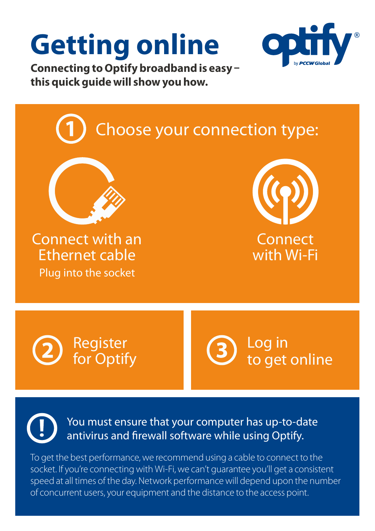## **Getting online**



**Connecting to Optify broadband is easy – this quick guide will show you how.**



To get the best performance, we recommend using a cable to connect to the socket. If you're connecting with Wi-Fi, we can't guarantee you'll get a consistent speed at all times of the day. Network performance will depend upon the number of concurrent users, your equipment and the distance to the access point.